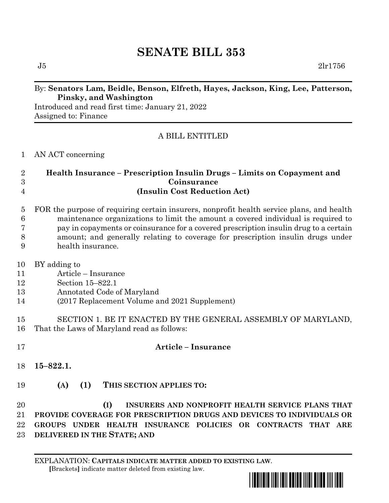# **SENATE BILL 353**

## By: **Senators Lam, Beidle, Benson, Elfreth, Hayes, Jackson, King, Lee, Patterson, Pinsky, and Washington**

Introduced and read first time: January 21, 2022 Assigned to: Finance

# A BILL ENTITLED

AN ACT concerning

## **Health Insurance – Prescription Insulin Drugs – Limits on Copayment and Coinsurance (Insulin Cost Reduction Act)**

|                 | 5 FOR the purpose of requiring certain insurers, nonprofit health service plans, and health |
|-----------------|---------------------------------------------------------------------------------------------|
| 6               | maintenance organizations to limit the amount a covered individual is required to           |
| $7\phantom{.0}$ | pay in copayments or coinsurance for a covered prescription insulin drug to a certain       |
| 8               | amount; and generally relating to coverage for prescription insulin drugs under             |
| 9               | health insurance.                                                                           |

- BY adding to
- Article Insurance
- Section 15–822.1
- Annotated Code of Maryland
- (2017 Replacement Volume and 2021 Supplement)
- SECTION 1. BE IT ENACTED BY THE GENERAL ASSEMBLY OF MARYLAND, That the Laws of Maryland read as follows:
- **Article – Insurance**

- **15–822.1.**
- **(A) (1) THIS SECTION APPLIES TO:**

 **(I) INSURERS AND NONPROFIT HEALTH SERVICE PLANS THAT PROVIDE COVERAGE FOR PRESCRIPTION DRUGS AND DEVICES TO INDIVIDUALS OR GROUPS UNDER HEALTH INSURANCE POLICIES OR CONTRACTS THAT ARE DELIVERED IN THE STATE; AND**

EXPLANATION: **CAPITALS INDICATE MATTER ADDED TO EXISTING LAW**.  **[**Brackets**]** indicate matter deleted from existing law.